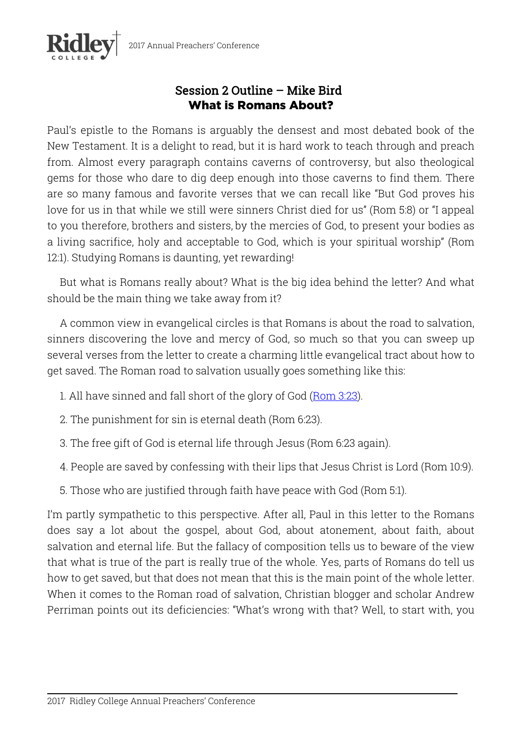

## Session 2 Outline – Mike Bird What is Romans About?

Paul's epistle to the Romans is arguably the densest and most debated book of the New Testament. It is a delight to read, but it is hard work to teach through and preach from. Almost every paragraph contains caverns of controversy, but also theological gems for those who dare to dig deep enough into those caverns to find them. There are so many famous and favorite verses that we can recall like "But God proves his love for us in that while we still were sinners Christ died for us" (Rom 5:8) or "I appeal to you therefore, brothers and sisters, by the mercies of God, to present your bodies as a living sacrifice, holy and acceptable to God, which is your spiritual worship" (Rom 12:1). Studying Romans is daunting, yet rewarding!

But what is Romans really about? What is the big idea behind the letter? And what should be the main thing we take away from it?

A common view in evangelical circles is that Romans is about the road to salvation, sinners discovering the love and mercy of God, so much so that you can sweep up several verses from the letter to create a charming little evangelical tract about how to get saved. The Roman road to salvation usually goes something like this:

- 1. All have sinned and fall short of the glory of God (Rom 3:23).
- 2. The punishment for sin is eternal death (Rom 6:23).
- 3. The free gift of God is eternal life through Jesus (Rom 6:23 again).
- 4. People are saved by confessing with their lips that Jesus Christ is Lord (Rom 10:9).
- 5. Those who are justified through faith have peace with God (Rom 5:1).

I'm partly sympathetic to this perspective. After all, Paul in this letter to the Romans does say a lot about the gospel, about God, about atonement, about faith, about salvation and eternal life. But the fallacy of composition tells us to beware of the view that what is true of the part is really true of the whole. Yes, parts of Romans do tell us how to get saved, but that does not mean that this is the main point of the whole letter. When it comes to the Roman road of salvation, Christian blogger and scholar Andrew Perriman points out its deficiencies: "What's wrong with that? Well, to start with, you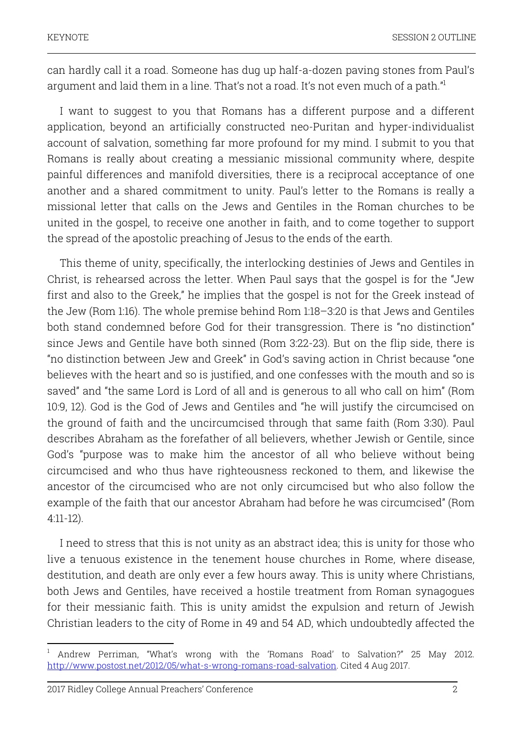can hardly call it a road. Someone has dug up half-a-dozen paving stones from Paul's argument and laid them in a line. That's not a road. It's not even much of a path."

I want to suggest to you that Romans has a different purpose and a different application, beyond an artificially constructed neo-Puritan and hyper-individualist account of salvation, something far more profound for my mind. I submit to you that Romans is really about creating a messianic missional community where, despite painful differences and manifold diversities, there is a reciprocal acceptance of one another and a shared commitment to unity. Paul's letter to the Romans is really a missional letter that calls on the Jews and Gentiles in the Roman churches to be united in the gospel, to receive one another in faith, and to come together to support the spread of the apostolic preaching of Jesus to the ends of the earth.

This theme of unity, specifically, the interlocking destinies of Jews and Gentiles in Christ, is rehearsed across the letter. When Paul says that the gospel is for the "Jew first and also to the Greek," he implies that the gospel is not for the Greek instead of the Jew (Rom 1:16). The whole premise behind Rom 1:18–3:20 is that Jews and Gentiles both stand condemned before God for their transgression. There is "no distinction" since Jews and Gentile have both sinned (Rom 3:22-23). But on the flip side, there is "no distinction between Jew and Greek" in God's saving action in Christ because "one believes with the heart and so is justified, and one confesses with the mouth and so is saved" and "the same Lord is Lord of all and is generous to all who call on him" (Rom 10:9, 12). God is the God of Jews and Gentiles and "he will justify the circumcised on the ground of faith and the uncircumcised through that same faith (Rom 3:30). Paul describes Abraham as the forefather of all believers, whether Jewish or Gentile, since God's "purpose was to make him the ancestor of all who believe without being circumcised and who thus have righteousness reckoned to them, and likewise the ancestor of the circumcised who are not only circumcised but who also follow the example of the faith that our ancestor Abraham had before he was circumcised" (Rom 4:11-12).

I need to stress that this is not unity as an abstract idea; this is unity for those who live a tenuous existence in the tenement house churches in Rome, where disease, destitution, and death are only ever a few hours away. This is unity where Christians, both Jews and Gentiles, have received a hostile treatment from Roman synagogues for their messianic faith. This is unity amidst the expulsion and return of Jewish Christian leaders to the city of Rome in 49 and 54 AD, which undoubtedly affected the

<sup>1</sup> Andrew Perriman, "What's wrong with the 'Romans Road' to Salvation?" 25 May 2012. http://www.postost.net/2012/05/what-s-wrong-romans-road-salvation. Cited 4 Aug 2017.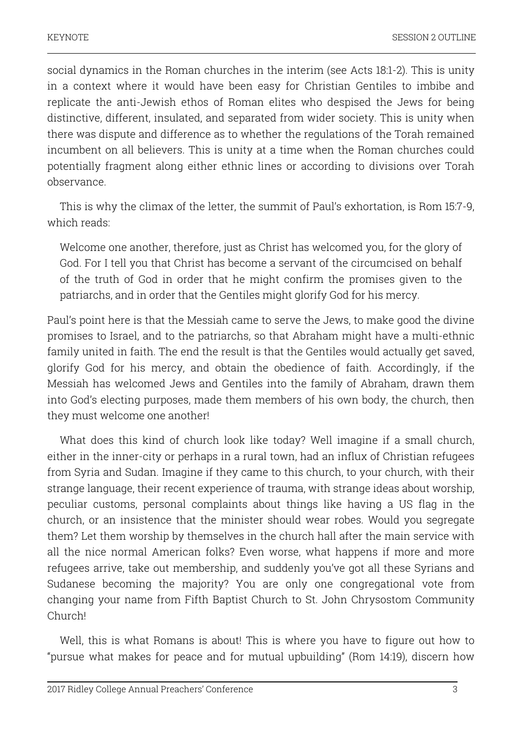social dynamics in the Roman churches in the interim (see Acts 18:1-2). This is unity in a context where it would have been easy for Christian Gentiles to imbibe and replicate the anti-Jewish ethos of Roman elites who despised the Jews for being distinctive, different, insulated, and separated from wider society. This is unity when there was dispute and difference as to whether the regulations of the Torah remained incumbent on all believers. This is unity at a time when the Roman churches could potentially fragment along either ethnic lines or according to divisions over Torah observance.

This is why the climax of the letter, the summit of Paul's exhortation, is Rom 15:7-9, which reads:

Welcome one another, therefore, just as Christ has welcomed you, for the glory of God. For I tell you that Christ has become a servant of the circumcised on behalf of the truth of God in order that he might confirm the promises given to the patriarchs, and in order that the Gentiles might glorify God for his mercy.

Paul's point here is that the Messiah came to serve the Jews, to make good the divine promises to Israel, and to the patriarchs, so that Abraham might have a multi-ethnic family united in faith. The end the result is that the Gentiles would actually get saved, glorify God for his mercy, and obtain the obedience of faith. Accordingly, if the Messiah has welcomed Jews and Gentiles into the family of Abraham, drawn them into God's electing purposes, made them members of his own body, the church, then they must welcome one another!

What does this kind of church look like today? Well imagine if a small church, either in the inner-city or perhaps in a rural town, had an influx of Christian refugees from Syria and Sudan. Imagine if they came to this church, to your church, with their strange language, their recent experience of trauma, with strange ideas about worship, peculiar customs, personal complaints about things like having a US flag in the church, or an insistence that the minister should wear robes. Would you segregate them? Let them worship by themselves in the church hall after the main service with all the nice normal American folks? Even worse, what happens if more and more refugees arrive, take out membership, and suddenly you've got all these Syrians and Sudanese becoming the majority? You are only one congregational vote from changing your name from Fifth Baptist Church to St. John Chrysostom Community Church!

Well, this is what Romans is about! This is where you have to figure out how to "pursue what makes for peace and for mutual upbuilding" (Rom 14:19), discern how